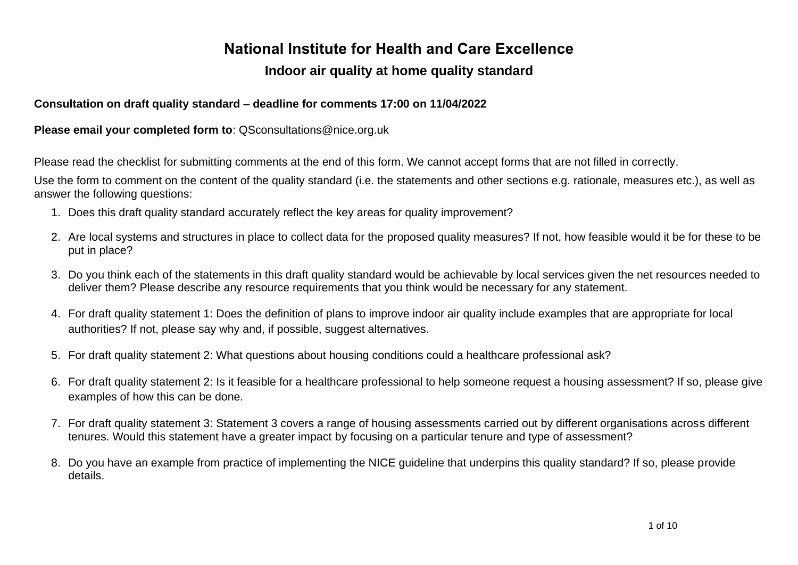## **National Institute for Health and Care Excellence**

### **Indoor air quality at home quality standard**

#### **Consultation on draft quality standard – deadline for comments 17:00 on 11/04/2022**

**Please email your completed form to**: QSconsultations@nice.org.uk

Please read the checklist for submitting comments at the end of this form. We cannot accept forms that are not filled in correctly.

Use the form to comment on the content of the quality standard (i.e. the statements and other sections e.g. rationale, measures etc.), as well as answer the following questions:

- 1. Does this draft quality standard accurately reflect the key areas for quality improvement?
- 2. Are local systems and structures in place to collect data for the proposed quality measures? If not, how feasible would it be for these to be put in place?
- 3. Do you think each of the statements in this draft quality standard would be achievable by local services given the net resources needed to deliver them? Please describe any resource requirements that you think would be necessary for any statement.
- 4. For draft quality statement 1: Does the definition of plans to improve indoor air quality include examples that are appropriate for local authorities? If not, please say why and, if possible, suggest alternatives.
- 5. For draft quality statement 2: What questions about housing conditions could a healthcare professional ask?
- 6. For draft quality statement 2: Is it feasible for a healthcare professional to help someone request a housing assessment? If so, please give examples of how this can be done.
- 7. For draft quality statement 3: Statement 3 covers a range of housing assessments carried out by different organisations across different tenures. Would this statement have a greater impact by focusing on a particular tenure and type of assessment?
- 8. Do you have an example from practice of implementing the NICE guideline that underpins this quality standard? If so, please provide details.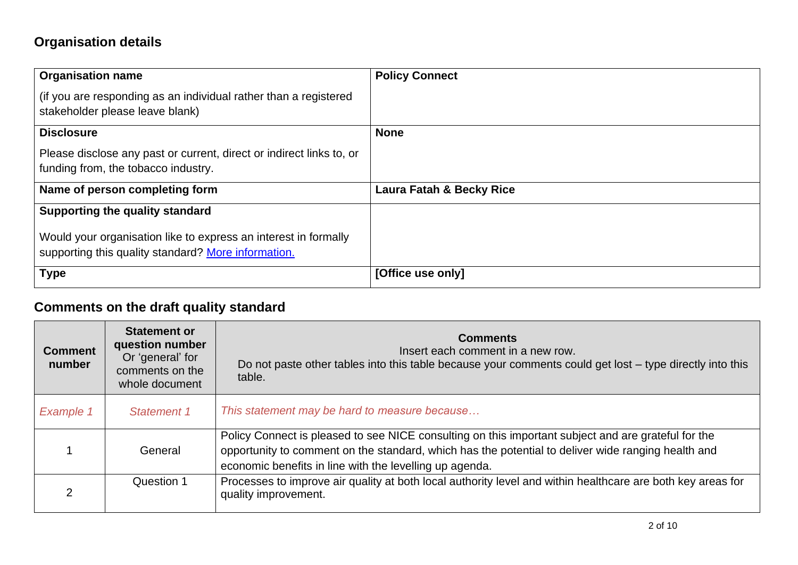# **Organisation details**

| <b>Organisation name</b>                                                                                               | <b>Policy Connect</b>    |
|------------------------------------------------------------------------------------------------------------------------|--------------------------|
| (if you are responding as an individual rather than a registered<br>stakeholder please leave blank)                    |                          |
| <b>Disclosure</b>                                                                                                      | <b>None</b>              |
| Please disclose any past or current, direct or indirect links to, or<br>funding from, the tobacco industry.            |                          |
| Name of person completing form                                                                                         | Laura Fatah & Becky Rice |
| Supporting the quality standard                                                                                        |                          |
| Would your organisation like to express an interest in formally<br>supporting this quality standard? More information. |                          |
| <b>Type</b>                                                                                                            | [Office use only]        |

# **Comments on the draft quality standard**

| <b>Comment</b><br>number | <b>Statement or</b><br>question number<br>Or 'general' for<br>comments on the<br>whole document | <b>Comments</b><br>Insert each comment in a new row.<br>Do not paste other tables into this table because your comments could get lost – type directly into this<br>table.                                                                                           |
|--------------------------|-------------------------------------------------------------------------------------------------|----------------------------------------------------------------------------------------------------------------------------------------------------------------------------------------------------------------------------------------------------------------------|
| <b>Example 1</b>         | Statement 1                                                                                     | This statement may be hard to measure because                                                                                                                                                                                                                        |
|                          | General                                                                                         | Policy Connect is pleased to see NICE consulting on this important subject and are grateful for the<br>opportunity to comment on the standard, which has the potential to deliver wide ranging health and<br>economic benefits in line with the levelling up agenda. |
|                          | Question 1                                                                                      | Processes to improve air quality at both local authority level and within healthcare are both key areas for<br>quality improvement.                                                                                                                                  |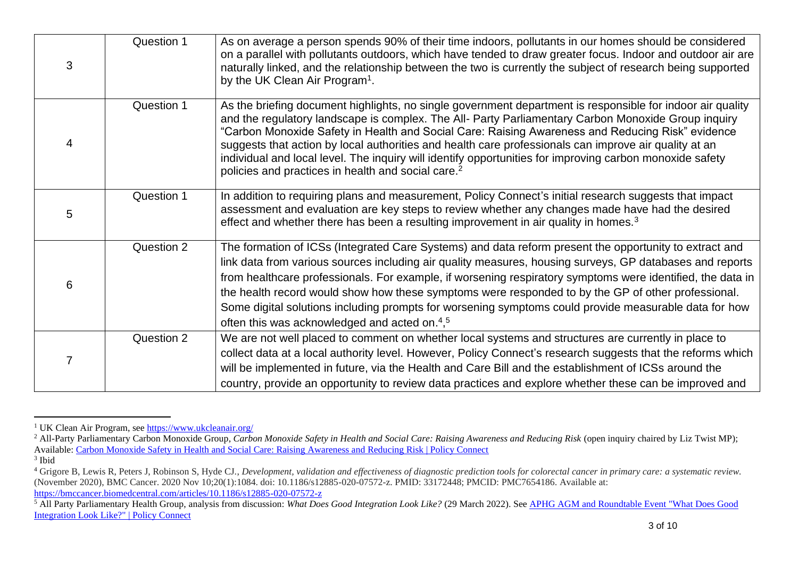| 3 | Question 1 | As on average a person spends 90% of their time indoors, pollutants in our homes should be considered<br>on a parallel with pollutants outdoors, which have tended to draw greater focus. Indoor and outdoor air are<br>naturally linked, and the relationship between the two is currently the subject of research being supported<br>by the UK Clean Air Program <sup>1</sup> .                                                                                                                                                                                                                            |
|---|------------|--------------------------------------------------------------------------------------------------------------------------------------------------------------------------------------------------------------------------------------------------------------------------------------------------------------------------------------------------------------------------------------------------------------------------------------------------------------------------------------------------------------------------------------------------------------------------------------------------------------|
| 4 | Question 1 | As the briefing document highlights, no single government department is responsible for indoor air quality<br>and the regulatory landscape is complex. The All- Party Parliamentary Carbon Monoxide Group inquiry<br>"Carbon Monoxide Safety in Health and Social Care: Raising Awareness and Reducing Risk" evidence<br>suggests that action by local authorities and health care professionals can improve air quality at an<br>individual and local level. The inquiry will identify opportunities for improving carbon monoxide safety<br>policies and practices in health and social care. <sup>2</sup> |
| 5 | Question 1 | In addition to requiring plans and measurement, Policy Connect's initial research suggests that impact<br>assessment and evaluation are key steps to review whether any changes made have had the desired<br>effect and whether there has been a resulting improvement in air quality in homes. <sup>3</sup>                                                                                                                                                                                                                                                                                                 |
| 6 | Question 2 | The formation of ICSs (Integrated Care Systems) and data reform present the opportunity to extract and<br>link data from various sources including air quality measures, housing surveys, GP databases and reports<br>from healthcare professionals. For example, if worsening respiratory symptoms were identified, the data in<br>the health record would show how these symptoms were responded to by the GP of other professional.<br>Some digital solutions including prompts for worsening symptoms could provide measurable data for how<br>often this was acknowledged and acted on. <sup>4,5</sup>  |
|   | Question 2 | We are not well placed to comment on whether local systems and structures are currently in place to<br>collect data at a local authority level. However, Policy Connect's research suggests that the reforms which<br>will be implemented in future, via the Health and Care Bill and the establishment of ICSs around the<br>country, provide an opportunity to review data practices and explore whether these can be improved and                                                                                                                                                                         |

<sup>&</sup>lt;sup>1</sup> UK Clean Air Program, see<https://www.ukcleanair.org/>

<sup>&</sup>lt;sup>2</sup> All-Party Parliamentary Carbon Monoxide Group, *Carbon Monoxide Safety in Health and Social Care: Raising Awareness and Reducing Risk (open inquiry chaired by Liz Twist MP);* Available: [Carbon Monoxide Safety in Health and Social Care: Raising Awareness and Reducing Risk | Policy Connect](https://www.policyconnect.org.uk/research/carbon-monoxide-safety-health-and-social-care-raising-awareness-and-reducing-risk)

<sup>3</sup> Ibid

<sup>4</sup> Grigore B, Lewis R, Peters J, Robinson S, Hyde CJ., *Development, validation and effectiveness of diagnostic prediction tools for colorectal cancer in primary care: a systematic review.* (November 2020), BMC Cancer. 2020 Nov 10;20(1):1084. doi: 10.1186/s12885-020-07572-z. PMID: 33172448; PMCID: PMC7654186. Available at: <https://bmccancer.biomedcentral.com/articles/10.1186/s12885-020-07572-z>

<sup>&</sup>lt;sup>5</sup> All Party Parliamentary Health Group, analysis from discussion: *What Does Good Integration Look Like?* (29 March 2022). See APHG AGM and Roundtable Event "What Does Good [Integration Look Like?" | Policy Connect](https://www.policyconnect.org.uk/events/aphg-agm-and-roundtable-event-what-does-good-integration-look)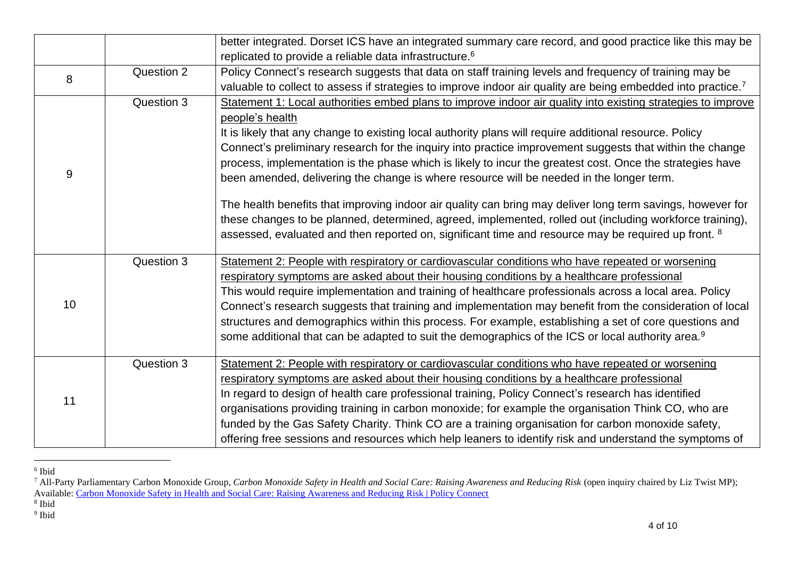|    |            | better integrated. Dorset ICS have an integrated summary care record, and good practice like this may be                                                                                                                                                                                                                                                                                                                                                                                                                                                                                                                                                                                                                                                                                                                                                                                                    |
|----|------------|-------------------------------------------------------------------------------------------------------------------------------------------------------------------------------------------------------------------------------------------------------------------------------------------------------------------------------------------------------------------------------------------------------------------------------------------------------------------------------------------------------------------------------------------------------------------------------------------------------------------------------------------------------------------------------------------------------------------------------------------------------------------------------------------------------------------------------------------------------------------------------------------------------------|
|    |            | replicated to provide a reliable data infrastructure. <sup>6</sup>                                                                                                                                                                                                                                                                                                                                                                                                                                                                                                                                                                                                                                                                                                                                                                                                                                          |
|    | Question 2 | Policy Connect's research suggests that data on staff training levels and frequency of training may be                                                                                                                                                                                                                                                                                                                                                                                                                                                                                                                                                                                                                                                                                                                                                                                                      |
| 8  |            | valuable to collect to assess if strategies to improve indoor air quality are being embedded into practice. <sup>7</sup>                                                                                                                                                                                                                                                                                                                                                                                                                                                                                                                                                                                                                                                                                                                                                                                    |
| 9  | Question 3 | Statement 1: Local authorities embed plans to improve indoor air quality into existing strategies to improve<br>people's health<br>It is likely that any change to existing local authority plans will require additional resource. Policy<br>Connect's preliminary research for the inquiry into practice improvement suggests that within the change<br>process, implementation is the phase which is likely to incur the greatest cost. Once the strategies have<br>been amended, delivering the change is where resource will be needed in the longer term.<br>The health benefits that improving indoor air quality can bring may deliver long term savings, however for<br>these changes to be planned, determined, agreed, implemented, rolled out (including workforce training),<br>assessed, evaluated and then reported on, significant time and resource may be required up front. <sup>8</sup> |
|    |            |                                                                                                                                                                                                                                                                                                                                                                                                                                                                                                                                                                                                                                                                                                                                                                                                                                                                                                             |
| 10 | Question 3 | Statement 2: People with respiratory or cardiovascular conditions who have repeated or worsening<br>respiratory symptoms are asked about their housing conditions by a healthcare professional<br>This would require implementation and training of healthcare professionals across a local area. Policy<br>Connect's research suggests that training and implementation may benefit from the consideration of local<br>structures and demographics within this process. For example, establishing a set of core questions and<br>some additional that can be adapted to suit the demographics of the ICS or local authority area. <sup>9</sup>                                                                                                                                                                                                                                                             |
| 11 | Question 3 | Statement 2: People with respiratory or cardiovascular conditions who have repeated or worsening<br>respiratory symptoms are asked about their housing conditions by a healthcare professional<br>In regard to design of health care professional training, Policy Connect's research has identified<br>organisations providing training in carbon monoxide; for example the organisation Think CO, who are<br>funded by the Gas Safety Charity. Think CO are a training organisation for carbon monoxide safety,<br>offering free sessions and resources which help leaners to identify risk and understand the symptoms of                                                                                                                                                                                                                                                                                |

<sup>6</sup> Ibid

<sup>9</sup> Ibid

<sup>7</sup> All-Party Parliamentary Carbon Monoxide Group, *Carbon Monoxide Safety in Health and Social Care: Raising Awareness and Reducing Risk* (open inquiry chaired by Liz Twist MP); Available: [Carbon Monoxide Safety in Health and Social Care: Raising Awareness and Reducing Risk | Policy Connect](https://www.policyconnect.org.uk/research/carbon-monoxide-safety-health-and-social-care-raising-awareness-and-reducing-risk)

<sup>8</sup> Ibid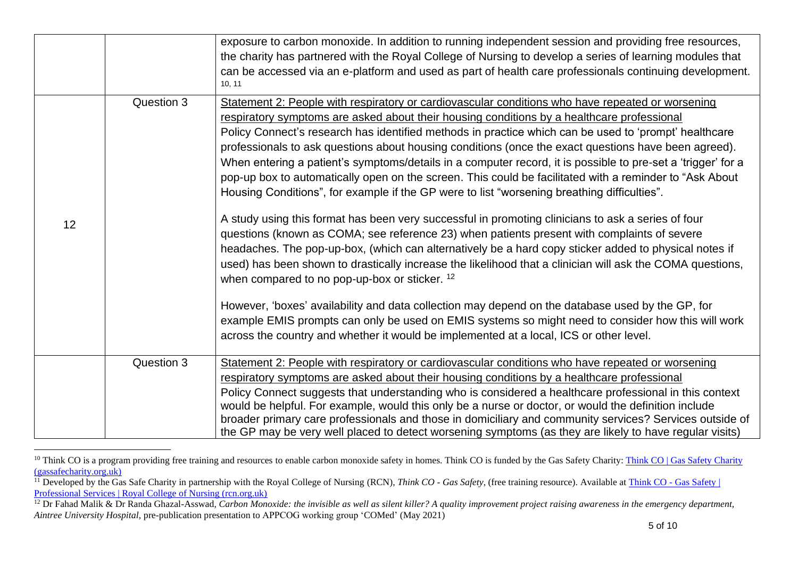|    |            | exposure to carbon monoxide. In addition to running independent session and providing free resources,<br>the charity has partnered with the Royal College of Nursing to develop a series of learning modules that<br>can be accessed via an e-platform and used as part of health care professionals continuing development.<br>10, 11                                                                                                                                                                                                                                                                                                                                                                                                                                                                                                                                                                                                                                                                                                                                                                                                                                                                                                                                                                                                                                                                                                                                                                                    |
|----|------------|---------------------------------------------------------------------------------------------------------------------------------------------------------------------------------------------------------------------------------------------------------------------------------------------------------------------------------------------------------------------------------------------------------------------------------------------------------------------------------------------------------------------------------------------------------------------------------------------------------------------------------------------------------------------------------------------------------------------------------------------------------------------------------------------------------------------------------------------------------------------------------------------------------------------------------------------------------------------------------------------------------------------------------------------------------------------------------------------------------------------------------------------------------------------------------------------------------------------------------------------------------------------------------------------------------------------------------------------------------------------------------------------------------------------------------------------------------------------------------------------------------------------------|
| 12 | Question 3 | Statement 2: People with respiratory or cardiovascular conditions who have repeated or worsening<br>respiratory symptoms are asked about their housing conditions by a healthcare professional<br>Policy Connect's research has identified methods in practice which can be used to 'prompt' healthcare<br>professionals to ask questions about housing conditions (once the exact questions have been agreed).<br>When entering a patient's symptoms/details in a computer record, it is possible to pre-set a 'trigger' for a<br>pop-up box to automatically open on the screen. This could be facilitated with a reminder to "Ask About<br>Housing Conditions", for example if the GP were to list "worsening breathing difficulties".<br>A study using this format has been very successful in promoting clinicians to ask a series of four<br>questions (known as COMA; see reference 23) when patients present with complaints of severe<br>headaches. The pop-up-box, (which can alternatively be a hard copy sticker added to physical notes if<br>used) has been shown to drastically increase the likelihood that a clinician will ask the COMA questions,<br>when compared to no pop-up-box or sticker. 12<br>However, 'boxes' availability and data collection may depend on the database used by the GP, for<br>example EMIS prompts can only be used on EMIS systems so might need to consider how this will work<br>across the country and whether it would be implemented at a local, ICS or other level. |
|    | Question 3 | Statement 2: People with respiratory or cardiovascular conditions who have repeated or worsening<br>respiratory symptoms are asked about their housing conditions by a healthcare professional<br>Policy Connect suggests that understanding who is considered a healthcare professional in this context<br>would be helpful. For example, would this only be a nurse or doctor, or would the definition include<br>broader primary care professionals and those in domiciliary and community services? Services outside of<br>the GP may be very well placed to detect worsening symptoms (as they are likely to have regular visits)                                                                                                                                                                                                                                                                                                                                                                                                                                                                                                                                                                                                                                                                                                                                                                                                                                                                                    |

<sup>&</sup>lt;sup>10</sup> Think CO is a program providing free training and resources to enable carbon monoxide safety in homes. Think CO is funded by the Gas Safety Charity: Think CO | Gas Safety Charity [\(gassafecharity.org.uk\)](https://www.gassafecharity.org.uk/our-programmes/think-co/)

<sup>&</sup>lt;sup>11</sup> Developed by the Gas Safe Charity in partnership with the Royal College of Nursing (RCN), *Think CO - Gas Safety*, (free training resource). Available at *Think CO - Gas Safety* | [Professional Services | Royal College of Nursing \(rcn.org.uk\)](https://www.rcn.org.uk/professional-development/professional-services/think-co-gas-safety)

<sup>&</sup>lt;sup>12</sup> Dr Fahad Malik & Dr Randa Ghazal-Asswad, *Carbon Monoxide: the invisible as well as silent killer? A quality improvement project raising awareness in the emergency department, Aintree University Hospital*, pre-publication presentation to APPCOG working group 'COMed' (May 2021)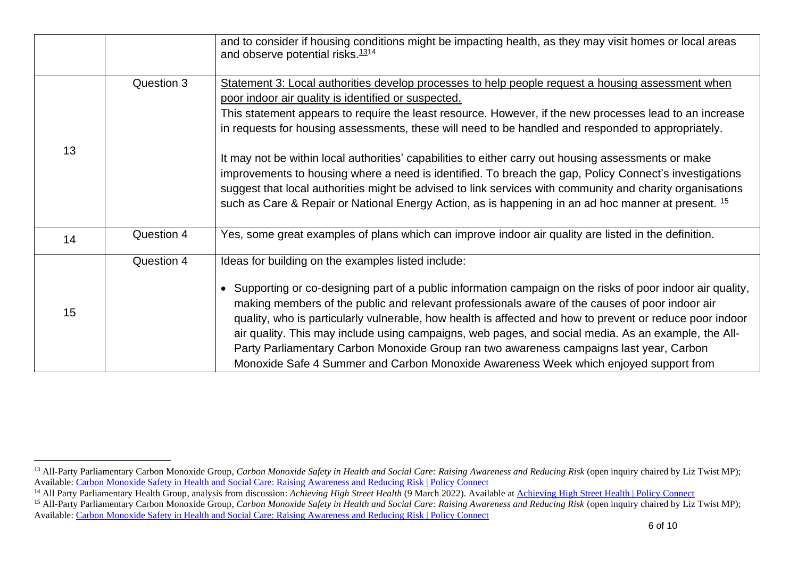|    |            | and to consider if housing conditions might be impacting health, as they may visit homes or local areas<br>and observe potential risks. <sup>1314</sup>                                                                                                                                                                                                                                                                                                                                                                                                                                                                                                                   |
|----|------------|---------------------------------------------------------------------------------------------------------------------------------------------------------------------------------------------------------------------------------------------------------------------------------------------------------------------------------------------------------------------------------------------------------------------------------------------------------------------------------------------------------------------------------------------------------------------------------------------------------------------------------------------------------------------------|
| 13 | Question 3 | Statement 3: Local authorities develop processes to help people request a housing assessment when<br>poor indoor air quality is identified or suspected.<br>This statement appears to require the least resource. However, if the new processes lead to an increase<br>in requests for housing assessments, these will need to be handled and responded to appropriately.                                                                                                                                                                                                                                                                                                 |
|    |            | It may not be within local authorities' capabilities to either carry out housing assessments or make<br>improvements to housing where a need is identified. To breach the gap, Policy Connect's investigations<br>suggest that local authorities might be advised to link services with community and charity organisations<br>such as Care & Repair or National Energy Action, as is happening in an ad hoc manner at present. 15                                                                                                                                                                                                                                        |
| 14 | Question 4 | Yes, some great examples of plans which can improve indoor air quality are listed in the definition.                                                                                                                                                                                                                                                                                                                                                                                                                                                                                                                                                                      |
| 15 | Question 4 | Ideas for building on the examples listed include:<br>• Supporting or co-designing part of a public information campaign on the risks of poor indoor air quality,<br>making members of the public and relevant professionals aware of the causes of poor indoor air<br>quality, who is particularly vulnerable, how health is affected and how to prevent or reduce poor indoor<br>air quality. This may include using campaigns, web pages, and social media. As an example, the All-<br>Party Parliamentary Carbon Monoxide Group ran two awareness campaigns last year, Carbon<br>Monoxide Safe 4 Summer and Carbon Monoxide Awareness Week which enjoyed support from |

<sup>&</sup>lt;sup>13</sup> All-Party Parliamentary Carbon Monoxide Group, *Carbon Monoxide Safety in Health and Social Care: Raising Awareness and Reducing Risk (open inquiry chaired by Liz Twist MP);* Available: [Carbon Monoxide Safety in Health and Social Care: Raising Awareness and Reducing Risk | Policy Connect](https://www.policyconnect.org.uk/research/carbon-monoxide-safety-health-and-social-care-raising-awareness-and-reducing-risk)

<sup>&</sup>lt;sup>14</sup> All Party Parliamentary Health Group, analysis from discussion: *Achieving High Street Health* (9 March 2022). Available at **Achieving High Street Health | Policy Connect** 

<sup>&</sup>lt;sup>15</sup> All-Party Parliamentary Carbon Monoxide Group, *Carbon Monoxide Safety in Health and Social Care: Raising Awareness and Reducing Risk (open inquiry chaired by Liz Twist MP);* Available: [Carbon Monoxide Safety in Health and Social Care: Raising Awareness and Reducing Risk | Policy Connect](https://www.policyconnect.org.uk/research/carbon-monoxide-safety-health-and-social-care-raising-awareness-and-reducing-risk)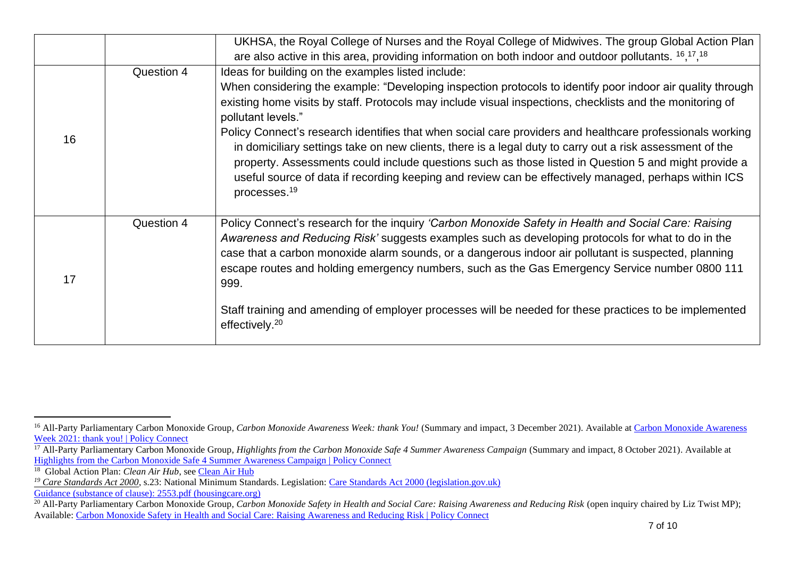|    |            | UKHSA, the Royal College of Nurses and the Royal College of Midwives. The group Global Action Plan                                                                                                                                                                                                                                                                                                                                                                |
|----|------------|-------------------------------------------------------------------------------------------------------------------------------------------------------------------------------------------------------------------------------------------------------------------------------------------------------------------------------------------------------------------------------------------------------------------------------------------------------------------|
|    |            | are also active in this area, providing information on both indoor and outdoor pollutants. $16,17,18$                                                                                                                                                                                                                                                                                                                                                             |
|    | Question 4 | Ideas for building on the examples listed include:                                                                                                                                                                                                                                                                                                                                                                                                                |
|    |            | When considering the example: "Developing inspection protocols to identify poor indoor air quality through<br>existing home visits by staff. Protocols may include visual inspections, checklists and the monitoring of<br>pollutant levels."                                                                                                                                                                                                                     |
| 16 |            | Policy Connect's research identifies that when social care providers and healthcare professionals working<br>in domiciliary settings take on new clients, there is a legal duty to carry out a risk assessment of the<br>property. Assessments could include questions such as those listed in Question 5 and might provide a<br>useful source of data if recording keeping and review can be effectively managed, perhaps within ICS<br>processes. <sup>19</sup> |
| 17 | Question 4 | Policy Connect's research for the inquiry 'Carbon Monoxide Safety in Health and Social Care: Raising<br>Awareness and Reducing Risk' suggests examples such as developing protocols for what to do in the<br>case that a carbon monoxide alarm sounds, or a dangerous indoor air pollutant is suspected, planning<br>escape routes and holding emergency numbers, such as the Gas Emergency Service number 0800 111<br>999.                                       |
|    |            | Staff training and amending of employer processes will be needed for these practices to be implemented<br>effectively. <sup>20</sup>                                                                                                                                                                                                                                                                                                                              |

<sup>&</sup>lt;sup>16</sup> All-Party Parliamentary Carbon Monoxide Group, *[Carbon Monoxide Awareness](https://www.policyconnect.org.uk/news/carbon-monoxide-awareness-week-2021-thank-you) Week: thank You!* (Summary and impact, 3 December 2021). Available at Carbon Monoxide Awareness [Week 2021: thank you! | Policy Connect](https://www.policyconnect.org.uk/news/carbon-monoxide-awareness-week-2021-thank-you)

<sup>&</sup>lt;sup>17</sup> All-Party Parliamentary Carbon Monoxide Group, *Highlights from the Carbon Monoxide Safe 4 Summer Awareness Campaign* (Summary and impact, 8 October 2021). Available at [Highlights from the Carbon Monoxide Safe 4 Summer Awareness Campaign | Policy Connect](https://www.policyconnect.org.uk/news/highlights-carbon-monoxide-safe-4-summer-awareness-campaign) 18 Global Action Plan: *Clean Air Hub*, see [Clean Air Hub](https://www.cleanairhub.org.uk/)

*<sup>19</sup> Care Standards Act 2000*, s.23: National Minimum Standards. Legislation: [Care Standards Act 2000 \(legislation.gov.uk\)](https://www.legislation.gov.uk/ukpga/2000/14/section/23)

Guidance (substance of clause): [2553.pdf \(housingcare.org\)](https://housingcare.org/downloads/kbase/2553.pdf)

<sup>&</sup>lt;sup>20</sup> All-Party Parliamentary Carbon Monoxide Group, *Carbon Monoxide Safety in Health and Social Care: Raising Awareness and Reducing Risk* (open inquiry chaired by Liz Twist MP); Available: [Carbon Monoxide Safety in Health and Social Care: Raising Awareness and Reducing Risk | Policy Connect](https://www.policyconnect.org.uk/research/carbon-monoxide-safety-health-and-social-care-raising-awareness-and-reducing-risk)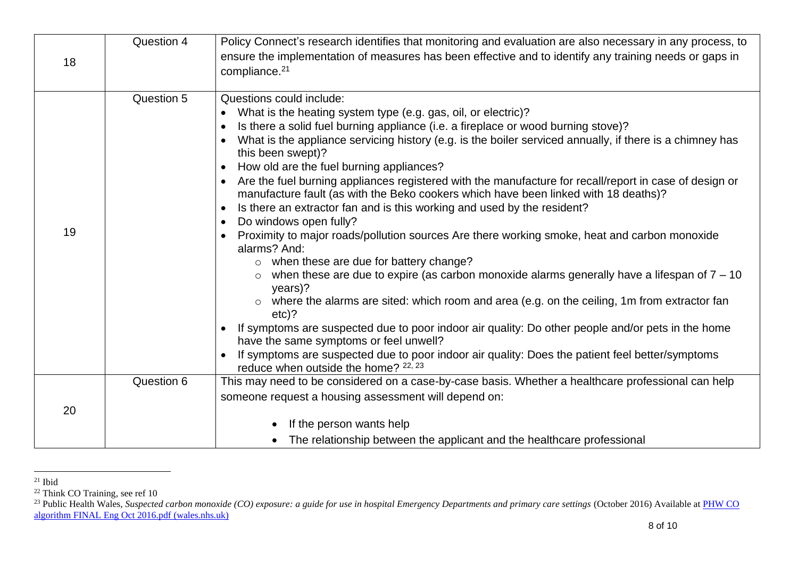| 18 | Question 4 | Policy Connect's research identifies that monitoring and evaluation are also necessary in any process, to<br>ensure the implementation of measures has been effective and to identify any training needs or gaps in<br>compliance. <sup>21</sup>                                                                                                                                                                                                                                                                                                                                                                                                                                                                                                                                                                                                                                                                                                                                                                                                                                                                                                                                                                                                                                                                                                                                                                                                               |
|----|------------|----------------------------------------------------------------------------------------------------------------------------------------------------------------------------------------------------------------------------------------------------------------------------------------------------------------------------------------------------------------------------------------------------------------------------------------------------------------------------------------------------------------------------------------------------------------------------------------------------------------------------------------------------------------------------------------------------------------------------------------------------------------------------------------------------------------------------------------------------------------------------------------------------------------------------------------------------------------------------------------------------------------------------------------------------------------------------------------------------------------------------------------------------------------------------------------------------------------------------------------------------------------------------------------------------------------------------------------------------------------------------------------------------------------------------------------------------------------|
| 19 | Question 5 | Questions could include:<br>What is the heating system type (e.g. gas, oil, or electric)?<br>$\bullet$<br>Is there a solid fuel burning appliance (i.e. a fireplace or wood burning stove)?<br>$\bullet$<br>What is the appliance servicing history (e.g. is the boiler serviced annually, if there is a chimney has<br>$\bullet$<br>this been swept)?<br>How old are the fuel burning appliances?<br>$\bullet$<br>Are the fuel burning appliances registered with the manufacture for recall/report in case of design or<br>manufacture fault (as with the Beko cookers which have been linked with 18 deaths)?<br>Is there an extractor fan and is this working and used by the resident?<br>$\bullet$<br>Do windows open fully?<br>$\bullet$<br>Proximity to major roads/pollution sources Are there working smoke, heat and carbon monoxide<br>$\bullet$<br>alarms? And:<br>$\circ$ when these are due for battery change?<br>when these are due to expire (as carbon monoxide alarms generally have a lifespan of $7 - 10$<br>$years)$ ?<br>where the alarms are sited: which room and area (e.g. on the ceiling, 1m from extractor fan<br>$etc$ ?<br>If symptoms are suspected due to poor indoor air quality: Do other people and/or pets in the home<br>$\bullet$<br>have the same symptoms or feel unwell?<br>If symptoms are suspected due to poor indoor air quality: Does the patient feel better/symptoms<br>reduce when outside the home? 22, 23 |
| 20 | Question 6 | This may need to be considered on a case-by-case basis. Whether a healthcare professional can help<br>someone request a housing assessment will depend on:<br>If the person wants help<br>The relationship between the applicant and the healthcare professional                                                                                                                                                                                                                                                                                                                                                                                                                                                                                                                                                                                                                                                                                                                                                                                                                                                                                                                                                                                                                                                                                                                                                                                               |

 $21$  Ibid

<sup>&</sup>lt;sup>22</sup> Think CO Training, see ref 10

<sup>&</sup>lt;sup>23</sup> Public Health Wales, *Suspected carbon monoxide (CO) exposure: a guide for use in hospital Emergency Departments and primary care settings (October 2016) Available at <i>PHW CO* [algorithm FINAL Eng Oct 2016.pdf \(wales.nhs.uk\)](http://www.wales.nhs.uk/sitesplus/documents/888/PHW%20CO%20algorithm%20FINAL%20Eng%20Oct%202016.pdf)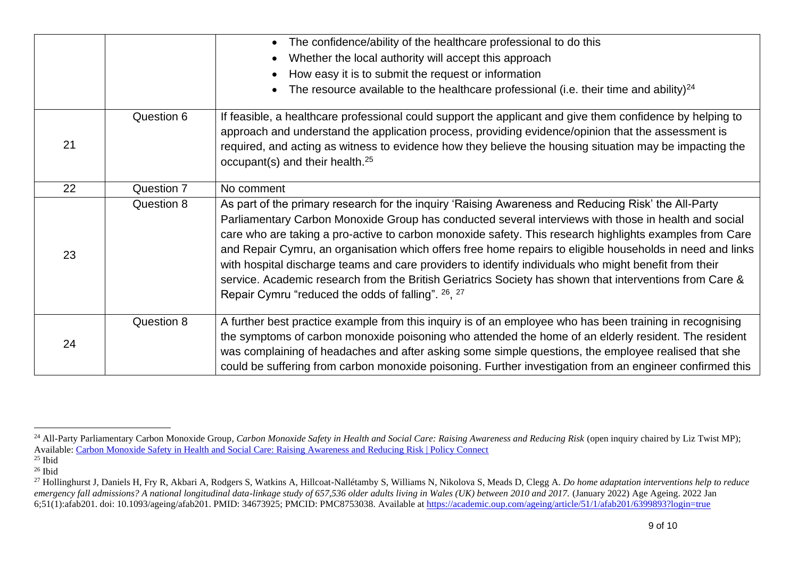|    |            | The confidence/ability of the healthcare professional to do this                                                                                                                                                                                                                                                                                                                                                                                                                                                                                                                                                                                                                                              |
|----|------------|---------------------------------------------------------------------------------------------------------------------------------------------------------------------------------------------------------------------------------------------------------------------------------------------------------------------------------------------------------------------------------------------------------------------------------------------------------------------------------------------------------------------------------------------------------------------------------------------------------------------------------------------------------------------------------------------------------------|
|    |            | Whether the local authority will accept this approach                                                                                                                                                                                                                                                                                                                                                                                                                                                                                                                                                                                                                                                         |
|    |            | How easy it is to submit the request or information                                                                                                                                                                                                                                                                                                                                                                                                                                                                                                                                                                                                                                                           |
|    |            | The resource available to the healthcare professional (i.e. their time and ability) <sup>24</sup>                                                                                                                                                                                                                                                                                                                                                                                                                                                                                                                                                                                                             |
| 21 | Question 6 | If feasible, a healthcare professional could support the applicant and give them confidence by helping to<br>approach and understand the application process, providing evidence/opinion that the assessment is<br>required, and acting as witness to evidence how they believe the housing situation may be impacting the<br>occupant(s) and their health. <sup>25</sup>                                                                                                                                                                                                                                                                                                                                     |
| 22 | Question 7 | No comment                                                                                                                                                                                                                                                                                                                                                                                                                                                                                                                                                                                                                                                                                                    |
| 23 | Question 8 | As part of the primary research for the inquiry 'Raising Awareness and Reducing Risk' the All-Party<br>Parliamentary Carbon Monoxide Group has conducted several interviews with those in health and social<br>care who are taking a pro-active to carbon monoxide safety. This research highlights examples from Care<br>and Repair Cymru, an organisation which offers free home repairs to eligible households in need and links<br>with hospital discharge teams and care providers to identify individuals who might benefit from their<br>service. Academic research from the British Geriatrics Society has shown that interventions from Care &<br>Repair Cymru "reduced the odds of falling". 26, 27 |
| 24 | Question 8 | A further best practice example from this inquiry is of an employee who has been training in recognising<br>the symptoms of carbon monoxide poisoning who attended the home of an elderly resident. The resident<br>was complaining of headaches and after asking some simple questions, the employee realised that she<br>could be suffering from carbon monoxide poisoning. Further investigation from an engineer confirmed this                                                                                                                                                                                                                                                                           |

<sup>&</sup>lt;sup>24</sup> All-Party Parliamentary Carbon Monoxide Group, *Carbon Monoxide Safety in Health and Social Care: Raising Awareness and Reducing Risk (open inquiry chaired by Liz Twist MP);* Available: [Carbon Monoxide Safety in Health and Social Care: Raising Awareness and Reducing Risk | Policy Connect](https://www.policyconnect.org.uk/research/carbon-monoxide-safety-health-and-social-care-raising-awareness-and-reducing-risk)

 $^{25}$  Ibid

 $26$  Ibid

<sup>&</sup>lt;sup>27</sup> Hollinghurst J, Daniels H, Fry R, Akbari A, Rodgers S, Watkins A, Hillcoat-Nallétamby S, Williams N, Nikolova S, Meads D, Clegg A. *Do home adaptation interventions help to reduce emergency fall admissions? A national longitudinal data-linkage study of 657,536 older adults living in Wales (UK) between 2010 and 2017.* (January 2022) Age Ageing. 2022 Jan 6;51(1):afab201. doi: 10.1093/ageing/afab201. PMID: 34673925; PMCID: PMC8753038. Available at<https://academic.oup.com/ageing/article/51/1/afab201/6399893?login=true>